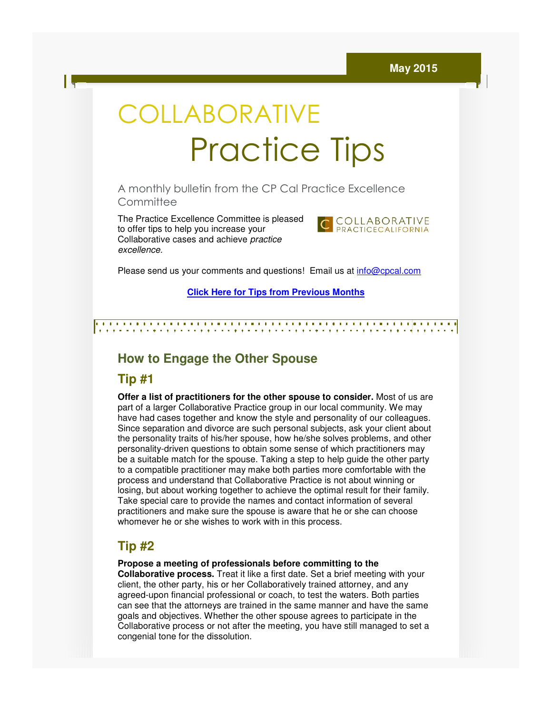# COLLABORATIVE Practice Practice Tips

A monthly bulletin from the CP Cal Practice Excellence CP Cal **Committee** 

The Practice Excellence Committee is pleased to offer tips to help you increase your The Practice Excellence Committee is ple<br>to offer tips to help you increase your<br>Collaborative cases and achieve *practice* excellence.



Please send us your comments and questions! Email us at *info@cpcal.com* 

**Click Here for Tips from Previous Months for Tips** 

## **How to Engage the Other Spouse the**

#### **Tip #1**

**Offer a list of practitioners for the other spouse to consider.** Most of us are part of a larger Collaborative Practice group in our local community. We may have had cases together and know the style and personality of our colleagues. Since separation and divorce are such personal subjects, ask your client about the personality traits of his/her spouse, how he/she solves problems, and other personality-driven questions to obtain some sense of which practitioners may be a suitable match for the spouse. Taking a step to help guide the other party to a compatible practitioner may make both parties more comfortable with the process and understand that Collaborative Practice is not about winning or losing, but about working together to achieve the optimal result for their family. process and understand that Collaborative Practice is not about winning or<br>losing, but about working together to achieve the optimal result for their fan<br>Take special care to provide the names and contact information of se practitioners and make sure the spouse is aware that he or she can choose practitioners and make sure the spouse is aware that he<br>whomever he or she wishes to work with in this process. part of a larger Collaborative Practice group in our local community. We may<br>have had cases together and know the style and personality of our colleagues.<br>Since separation and divorce are such personal subjects, ask your c

### **Tip #2**

**Propose a meeting of professionals before committing to the** 

**Collaborative process.** Treat it like a first date. Set a brief meeting with your client, the other party, his or her Collaboratively trained attorney, and any agreed-upon financial professional or coach, to test the waters. Both parties client, the other party, his or her Collaboratively trained attorney, and any<br>agreed-upon financial professional or coach, to test the waters. Both parties<br>can see that the attorneys are trained in the same manner and have goals and objectives. Whether the other spouse agrees to participate in the Collaborative process or not after the meeting, you have still managed to set a congenial tone for the dissolution. le practitioner may make both parties more comfortable with the<br>understand that Collaborative Practice is not about winning or<br>out working together to achieve the optimal result for their family.<br>care to provide the names